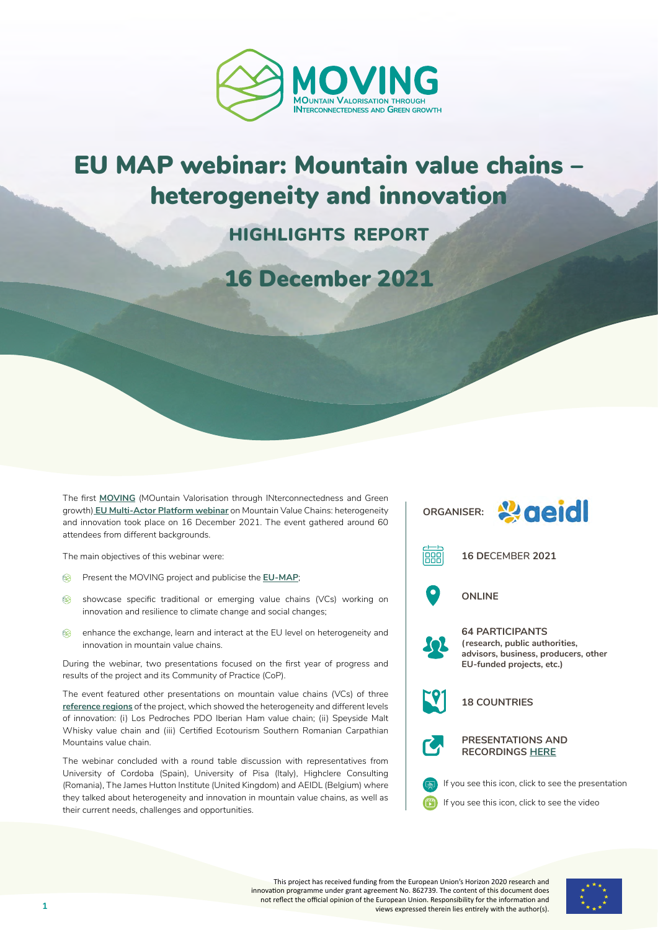

# EU MAP webinar: Mountain value chains – heterogeneity and innovation

highlights report

## 16 December 2021

The first **[MOVING](https://www.moving-h2020.eu)** (MOuntain Valorisation through INterconnectedness and Green growth) **[EU Multi-Actor Platform webinar](https://www.moving-h2020.eu/event/eu-map-webinar-2021/)** on Mountain Value Chains: heterogeneity and innovation took place on 16 December 2021. The event gathered around 60 attendees from different backgrounds.

The main objectives of this webinar were:

- $\otimes$ Present the MOVING project and publicise the **[EU-MAP](https://www.moving-h2020.eu/eu-multi-actor-platform/)**;
- showcase specific traditional or emerging value chains (VCs) working on  $\otimes$ innovation and resilience to climate change and social changes;
- enhance the exchange, learn and interact at the EU level on heterogeneity and  $\otimes$ innovation in mountain value chains.

During the webinar, two presentations focused on the first year of progress and results of the project and its Community of Practice (CoP).

The event featured other presentations on mountain value chains (VCs) of three **[reference regions](https://www.moving-h2020.eu/reference-regions/)** of the project, which showed the heterogeneity and different levels of innovation: (i) Los Pedroches PDO Iberian Ham value chain; (ii) Speyside Malt Whisky value chain and (iii) Certified Ecotourism Southern Romanian Carpathian Mountains value chain.

The webinar concluded with a round table discussion with representatives from University of Cordoba (Spain), University of Pisa (Italy), Highclere Consulting (Romania), The James Hutton Institute (United Kingdom) and AEIDL (Belgium) where they talked about heterogeneity and innovation in mountain value chains, as well as their current needs, challenges and opportunities.



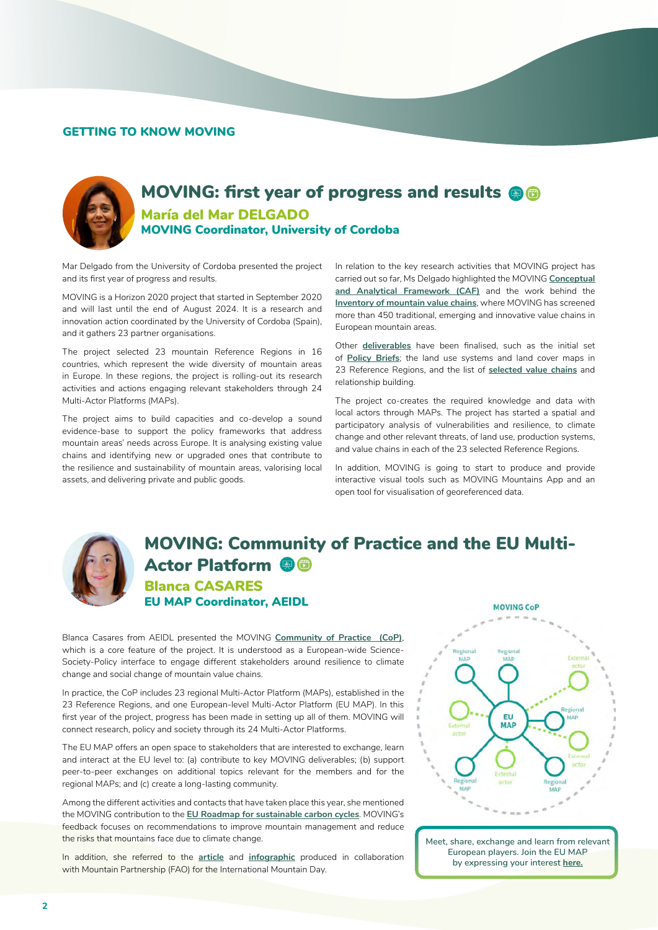#### GETTING TO KNOW MOVING



### MOVING:first year of progress and results @@

María del Mar DELGADO MOVING Coordinator, University of Cordoba

Mar Delgado from the University of Cordoba presented the project and its first year of progress and results.

MOVING is a Horizon 2020 project that started in September 2020 and will last until the end of August 2024. It is a research and innovation action coordinated by the University of Cordoba (Spain), and it gathers 23 partner organisations.

The project selected 23 mountain Reference Regions in 16 countries, which represent the wide diversity of mountain areas in Europe. In these regions, the project is rolling-out its research activities and actions engaging relevant stakeholders through 24 Multi-Actor Platforms (MAPs).

The project aims to build capacities and co-develop a sound evidence-base to support the policy frameworks that address mountain areas' needs across Europe. It is analysing existing value chains and identifying new or upgraded ones that contribute to the resilience and sustainability of mountain areas, valorising local assets, and delivering private and public goods.

In relation to the key research activities that MOVING project has carried out so far, Ms Delgado highlighted the MOVING **[Conceptual](https://www.moving-h2020.eu/linking-the-value-chain-to-socio-ecological-systems-approaches/)  [and Analytical Framework \(CAF\)](https://www.moving-h2020.eu/linking-the-value-chain-to-socio-ecological-systems-approaches/)** and the work behind the **[Inventory of mountain value chains](https://www.moving-h2020.eu/inventory-mountain-value-chains/)**, where MOVING has screened more than 450 traditional, emerging and innovative value chains in European mountain areas.

Other **[deliverables](https://www.moving-h2020.eu/library/)** have been finalised, such as the initial set of **[Policy Briefs](https://www.moving-h2020.eu/wp-content/uploads/2021/09/D2.2-Initial-Set-of-Policy-Briefs.pdf)**; the land use systems and land cover maps in 23 Reference Regions, and the list of **[selected value chains](https://www.moving-h2020.eu/wp-content/uploads/2021/09/D4.2_List-of-selected-value-chains-and-relationship-building.pd)** and relationship building.

The project co-creates the required knowledge and data with local actors through MAPs. The project has started a spatial and participatory analysis of vulnerabilities and resilience, to climate change and other relevant threats, of land use, production systems, and value chains in each of the 23 selected Reference Regions.

In addition, MOVING is going to start to produce and provide interactive visual tools such as MOVING Mountains App and an open tool for visualisation of georeferenced data.



#### MOVING: Community of Practice and the EU Multi-**Actor Platform ®6** Blanca CASARES EU MAP Coordinator, AEIDL **MOVING CoP**

Blanca Casares from AEIDL presented the MOVING **[Community of Practice \(CoP\)](https://www.moving-h2020.eu/community-of-practice/)**, which is a core feature of the project. It is understood as a European-wide Science-Society-Policy interface to engage different stakeholders around resilience to climate change and social change of mountain value chains.

In practice, the CoP includes 23 regional Multi-Actor Platform (MAPs), established in the 23 Reference Regions, and one European-level Multi-Actor Platform (EU MAP). In this first year of the project, progress has been made in setting up all of them. MOVING will connect research, policy and society through its 24 Multi-Actor Platforms.

The EU MAP offers an open space to stakeholders that are interested to exchange, learn and interact at the EU level to: (a) contribute to key MOVING deliverables; (b) support peer-to-peer exchanges on additional topics relevant for the members and for the regional MAPs; and (c) create a long-lasting community.

Among the different activities and contacts that have taken place this year, she mentioned the MOVING contribution to the **[EU Roadmap for sustainable carbon cycles](https://www.moving-h2020.eu/news/moving-contribution-roadmap/)**. MOVING's feedback focuses on recommendations to improve mountain management and reduce the risks that mountains face due to climate change.

In addition, she referred to the **[article](https://www.moving-h2020.eu/news/why-an-international-mountain-day/)** and **[infographic](https://www.moving-h2020.eu/wp-content/uploads/2021/12/MOVING_InternationalMountainDay.pdf)** produced in collaboration with Mountain Partnership (FAO) for the International Mountain Day.



**Meet, share, exchange and learn from relevant European players. Join the EU MAP by expressing your interest [here.](https://moving.d4science.org/expression-of-interest)**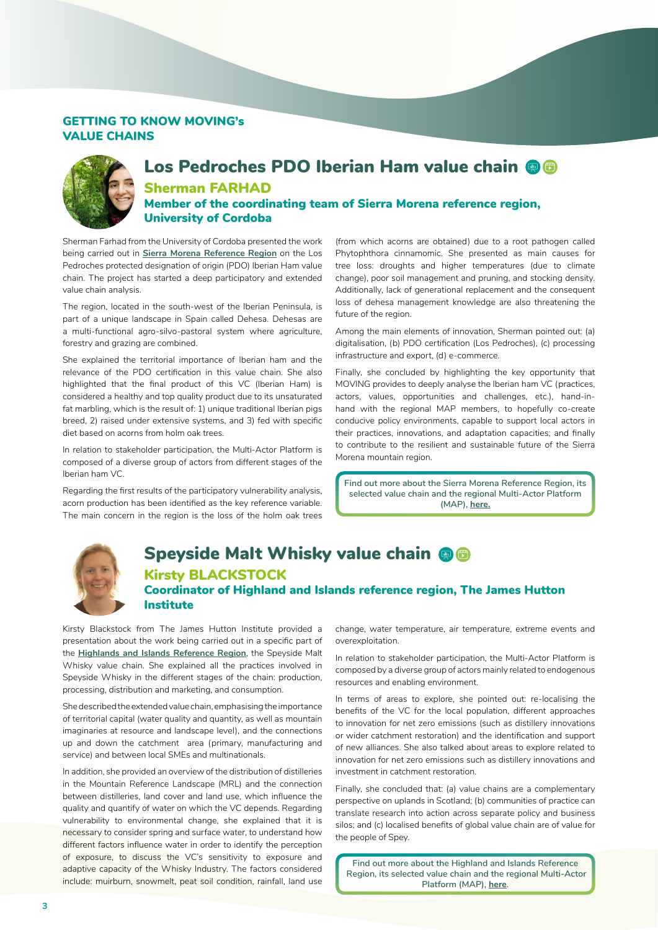#### GETTING TO KNOW MOVING's VALUE CHAINS



### Los Pedroches PDO Iberian Ham value chain Sherman FARHAD Member of the coordinating team of Sierra Morena reference region, University of Cordoba

Sherman Farhad from the University of Cordoba presented the work being carried out in **[Sierra Morena Reference Region](https://www.moving-h2020.eu/reference_regions/sierra-morena-spain/)** on the Los Pedroches protected designation of origin (PDO) Iberian Ham value chain. The project has started a deep participatory and extended value chain analysis.

The region, located in the south-west of the Iberian Peninsula, is part of a unique landscape in Spain called Dehesa. Dehesas are a multi-functional agro-silvo-pastoral system where agriculture, forestry and grazing are combined.

She explained the territorial importance of Iberian ham and the relevance of the PDO certification in this value chain. She also highlighted that the final product of this VC (Iberian Ham) is considered a healthy and top quality product due to its unsaturated fat marbling, which is the result of: 1) unique traditional Iberian pigs breed, 2) raised under extensive systems, and 3) fed with specific diet based on acorns from holm oak trees.

In relation to stakeholder participation, the Multi-Actor Platform is composed of a diverse group of actors from different stages of the Iberian ham VC.

Regarding the first results of the participatory vulnerability analysis, acorn production has been identified as the key reference variable. The main concern in the region is the loss of the holm oak trees

(from which acorns are obtained) due to a root pathogen called Phytophthora cinnamomic. She presented as main causes for tree loss: droughts and higher temperatures (due to climate change), poor soil management and pruning, and stocking density. Additionally, lack of generational replacement and the consequent loss of dehesa management knowledge are also threatening the future of the region.

Among the main elements of innovation, Sherman pointed out: (a) digitalisation, (b) PDO certification (Los Pedroches), (c) processing infrastructure and export, (d) e-commerce.

Finally, she concluded by highlighting the key opportunity that MOVING provides to deeply analyse the Iberian ham VC (practices, actors, values, opportunities and challenges, etc.), hand-inhand with the regional MAP members, to hopefully co-create conducive policy environments, capable to support local actors in their practices, innovations, and adaptation capacities; and finally to contribute to the resilient and sustainable future of the Sierra Morena mountain region.

**Find out more about the Sierra Morena Reference Region, its selected value chain and the regional Multi-Actor Platform (MAP), [here.](https://www.moving-h2020.eu/reference_regions/sierra-morena-spain/)**



#### Speyside Malt Whisky value chain @@ Kirsty BLACKSTOCK Coordinator of Highland and Islands reference region, The James Hutton Institute

Kirsty Blackstock from The James Hutton Institute provided a presentation about the work being carried out in a specific part of the **[Highlands and Islands Reference Region](https://www.moving-h2020.eu/reference_regions/highlands-and-islands-uk-scotland/)**, the Speyside Malt Whisky value chain. She explained all the practices involved in Speyside Whisky in the different stages of the chain: production, processing, distribution and marketing, and consumption.

She described the extended value chain, emphasising the importance of territorial capital (water quality and quantity, as well as mountain imaginaries at resource and landscape level), and the connections up and down the catchment area (primary, manufacturing and service) and between local SMEs and multinationals.

In addition, she provided an overview of the distribution of distilleries in the Mountain Reference Landscape (MRL) and the connection between distilleries, land cover and land use, which influence the quality and quantify of water on which the VC depends. Regarding vulnerability to environmental change, she explained that it is necessary to consider spring and surface water, to understand how different factors influence water in order to identify the perception of exposure, to discuss the VC's sensitivity to exposure and adaptive capacity of the Whisky Industry. The factors considered include: muirburn, snowmelt, peat soil condition, rainfall, land use

change, water temperature, air temperature, extreme events and overexploitation.

In relation to stakeholder participation, the Multi-Actor Platform is composed by a diverse group of actors mainly related to endogenous resources and enabling environment.

In terms of areas to explore, she pointed out: re-localising the benefits of the VC for the local population, different approaches to innovation for net zero emissions (such as distillery innovations or wider catchment restoration) and the identification and support of new alliances. She also talked about areas to explore related to innovation for net zero emissions such as distillery innovations and investment in catchment restoration.

Finally, she concluded that: (a) value chains are a complementary perspective on uplands in Scotland; (b) communities of practice can translate research into action across separate policy and business silos; and (c) localised benefits of global value chain are of value for the people of Spey.

**Find out more about the Highland and Islands Reference Region, its selected value chain and the regional Multi-Actor Platform (MAP), [here](https://www.moving-h2020.eu/reference_regions/highlands-and-islands-uk-scotland/).**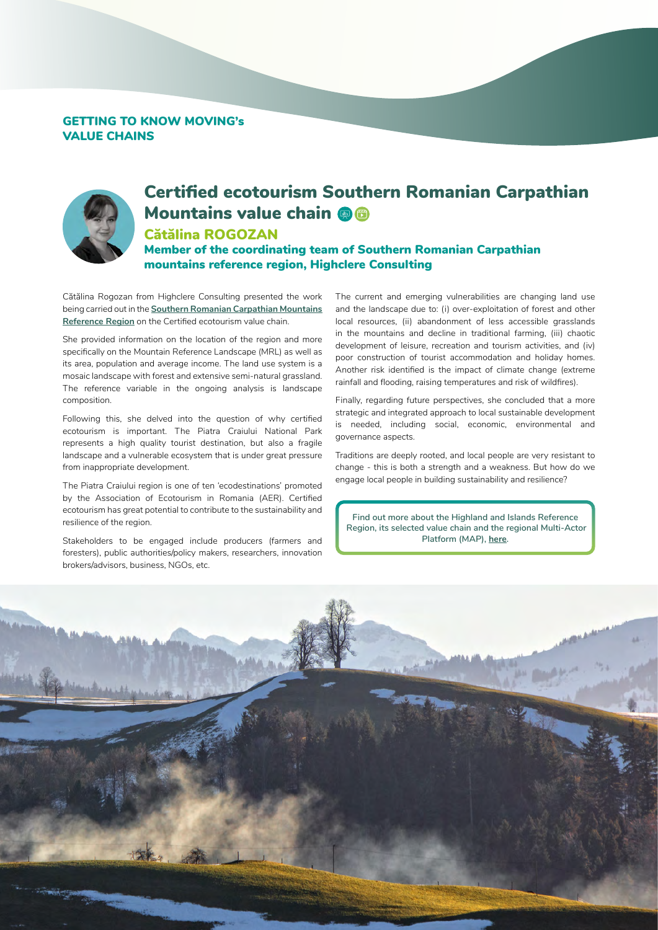#### GETTING TO KNOW MOVING's VALUE CHAINS



## Certified ecotourism Southern Romanian Carpathian Mountainsvalue chain @@

#### Cătălina ROGOZAN

Member of the coordinating team of Southern Romanian Carpathian mountains reference region, Highclere Consulting

Cătălina Rogozan from Highclere Consulting presented the work being carried out in the **[Southern Romanian Carpathian Mountains](https://www.moving-h2020.eu/reference_regions/southern-romanian-carpathian-mountains-romania/)  [Reference Region](https://www.moving-h2020.eu/reference_regions/southern-romanian-carpathian-mountains-romania/)** on the Certified ecotourism value chain.

She provided information on the location of the region and more specifically on the Mountain Reference Landscape (MRL) as well as its area, population and average income. The land use system is a mosaic landscape with forest and extensive semi-natural grassland. The reference variable in the ongoing analysis is landscape composition.

Following this, she delved into the question of why certified ecotourism is important. The Piatra Craiului National Park represents a high quality tourist destination, but also a fragile landscape and a vulnerable ecosystem that is under great pressure from inappropriate development.

The Piatra Craiului region is one of ten 'ecodestinations' promoted by the Association of Ecotourism in Romania (AER). Certified ecotourism has great potential to contribute to the sustainability and resilience of the region.

Stakeholders to be engaged include producers (farmers and foresters), public authorities/policy makers, researchers, innovation brokers/advisors, business, NGOs, etc.

The current and emerging vulnerabilities are changing land use and the landscape due to: (i) over-exploitation of forest and other local resources, (ii) abandonment of less accessible grasslands in the mountains and decline in traditional farming, (iii) chaotic development of leisure, recreation and tourism activities, and (iv) poor construction of tourist accommodation and holiday homes. Another risk identified is the impact of climate change (extreme rainfall and flooding, raising temperatures and risk of wildfires).

Finally, regarding future perspectives, she concluded that a more strategic and integrated approach to local sustainable development is needed, including social, economic, environmental and governance aspects.

Traditions are deeply rooted, and local people are very resistant to change - this is both a strength and a weakness. But how do we engage local people in building sustainability and resilience?

**Find out more about the Highland and Islands Reference Region, its selected value chain and the regional Multi-Actor Platform (MAP), [here](https://www.moving-h2020.eu/reference_regions/southern-romanian-carpathian-mountains-romania/).**